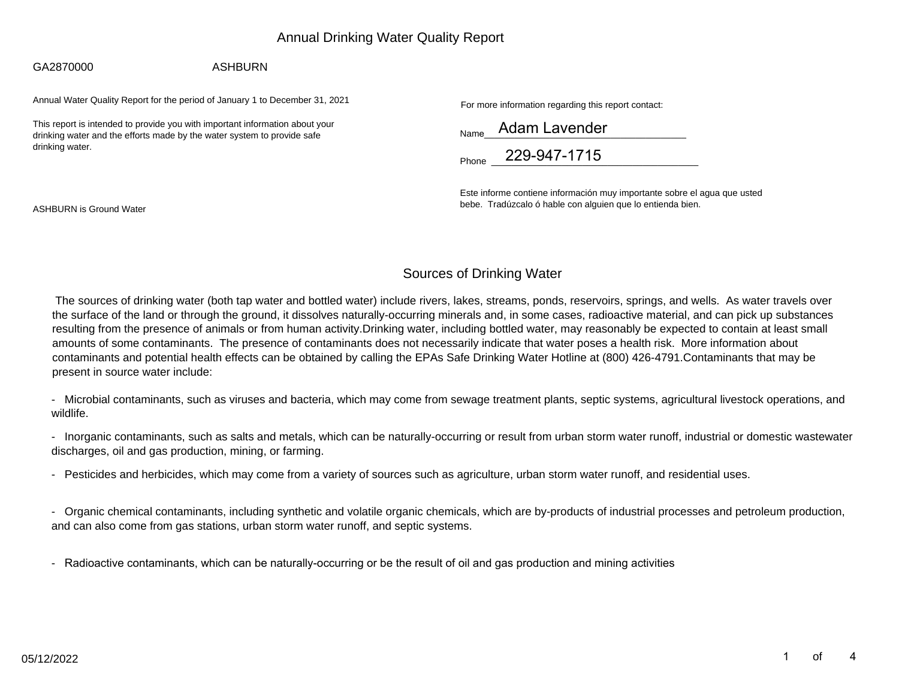# Annual Drinking Water Quality Report

#### GA2870000

### ASHBURN

Annual Water Quality Report for the period of January 1 to December 31, 2021

This report is intended to provide you with important information about yourdrinking water and the efforts made by the water system to provide safedrinking water.

For more information regarding this report contact:

| Name  | Adam Lavender |  |  |  |  |
|-------|---------------|--|--|--|--|
| Phone | 229-947-1715  |  |  |  |  |

Este informe contiene información muy importante sobre el agua que ustedbebe. Tradúzcalo ó hable con alguien que lo entienda bien.

ASHBURN is Ground Water

# Sources of Drinking Water

The sources of drinking water (both tap water and bottled water) include rivers, lakes, streams, ponds, reservoirs, springs, and wells. As water travels over the surface of the land or through the ground, it dissolves naturally-occurring minerals and, in some cases, radioactive material, and can pick up substances resulting from the presence of animals or from human activity.Drinking water, including bottled water, may reasonably be expected to contain at least small amounts of some contaminants. The presence of contaminants does not necessarily indicate that water poses a health risk. More information about contaminants and potential health effects can be obtained by calling the EPAs Safe Drinking Water Hotline at (800) 426-4791.Contaminants that may be present in source water include:

- Microbial contaminants, such as viruses and bacteria, which may come from sewage treatment plants, septic systems, agricultural livestock operations, andwildlife.

- Inorganic contaminants, such as salts and metals, which can be naturally-occurring or result from urban storm water runoff, industrial or domestic wastewaterdischarges, oil and gas production, mining, or farming.

- Pesticides and herbicides, which may come from a variety of sources such as agriculture, urban storm water runoff, and residential uses.

- Organic chemical contaminants, including synthetic and volatile organic chemicals, which are by-products of industrial processes and petroleum production, and can also come from gas stations, urban storm water runoff, and septic systems.

-Radioactive contaminants, which can be naturally-occurring or be the result of oil and gas production and mining activities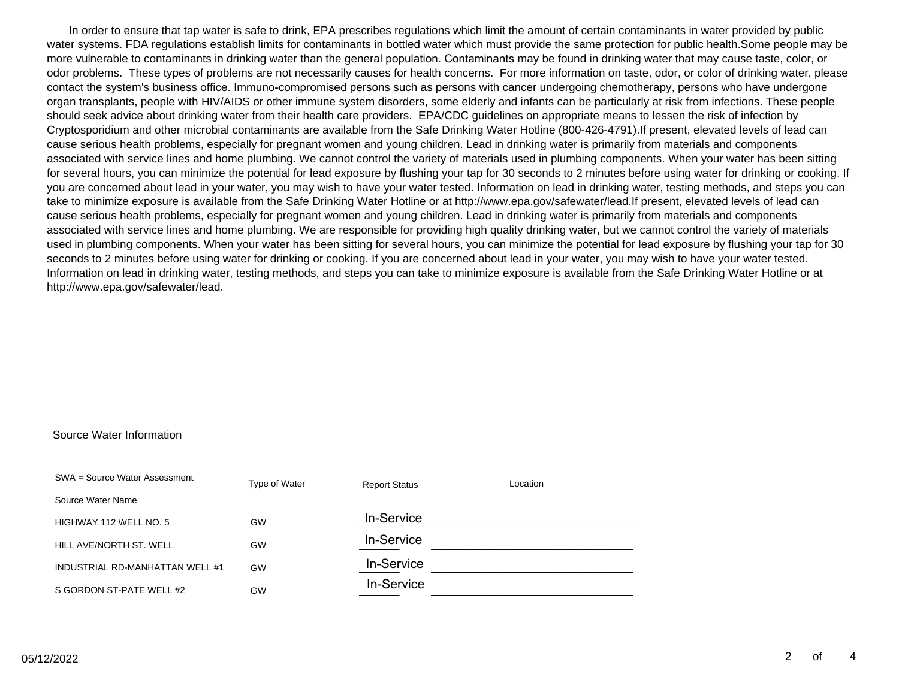In order to ensure that tap water is safe to drink, EPA prescribes regulations which limit the amount of certain contaminants in water provided by public water systems. FDA regulations establish limits for contaminants in bottled water which must provide the same protection for public health.Some people may be more vulnerable to contaminants in drinking water than the general population. Contaminants may be found in drinking water that may cause taste, color, or odor problems. These types of problems are not necessarily causes for health concerns. For more information on taste, odor, or color of drinking water, please contact the system's business office. Immuno-compromised persons such as persons with cancer undergoing chemotherapy, persons who have undergone organ transplants, people with HIV/AIDS or other immune system disorders, some elderly and infants can be particularly at risk from infections. These people should seek advice about drinking water from their health care providers. EPA/CDC guidelines on appropriate means to lessen the risk of infection by Cryptosporidium and other microbial contaminants are available from the Safe Drinking Water Hotline (800-426-4791).If present, elevated levels of lead can cause serious health problems, especially for pregnant women and young children. Lead in drinking water is primarily from materials and components associated with service lines and home plumbing. We cannot control the variety of materials used in plumbing components. When your water has been sitting for several hours, you can minimize the potential for lead exposure by flushing your tap for 30 seconds to 2 minutes before using water for drinking or cooking. If you are concerned about lead in your water, you may wish to have your water tested. Information on lead in drinking water, testing methods, and steps you can take to minimize exposure is available from the Safe Drinking Water Hotline or at http://www.epa.gov/safewater/lead.If present, elevated levels of lead can cause serious health problems, especially for pregnant women and young children. Lead in drinking water is primarily from materials and components associated with service lines and home plumbing. We are responsible for providing high quality drinking water, but we cannot control the variety of materials used in plumbing components. When your water has been sitting for several hours, you can minimize the potential for lead exposure by flushing your tap for 30 seconds to 2 minutes before using water for drinking or cooking. If you are concerned about lead in your water, you may wish to have your water tested. Information on lead in drinking water, testing methods, and steps you can take to minimize exposure is available from the Safe Drinking Water Hotline or at http://www.epa.gov/safewater/lead.

#### Source Water Information

| SWA = Source Water Assessment   | Type of Water | <b>Report Status</b> | Location |
|---------------------------------|---------------|----------------------|----------|
| Source Water Name               |               |                      |          |
| HIGHWAY 112 WELL NO. 5          | GW            | In-Service           |          |
| HILL AVE/NORTH ST. WELL         | GW            | In-Service           |          |
| INDUSTRIAL RD-MANHATTAN WELL #1 | GW            | In-Service           |          |
| S GORDON ST-PATE WELL #2        | GW            | In-Service           |          |
|                                 |               |                      |          |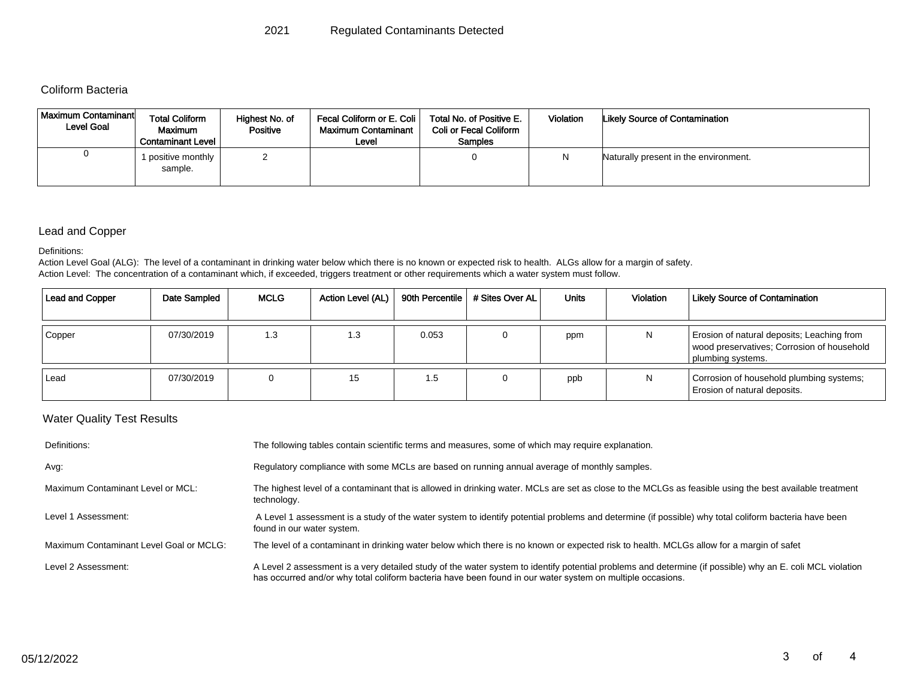## Coliform Bacteria

| <b>Maximum Contaminant</b><br><b>Level Goal</b> | <b>Total Coliform</b><br>Maximum<br><b>Contaminant Level</b> | Highest No. of<br><b>Positive</b> | Fecal Coliform or E. Coli<br><b>Maximum Contaminant</b><br>Level | Total No. of Positive E.<br><b>Coli or Fecal Coliform</b><br>Samples | <b>Violation</b> | <b>Likely Source of Contamination</b> |
|-------------------------------------------------|--------------------------------------------------------------|-----------------------------------|------------------------------------------------------------------|----------------------------------------------------------------------|------------------|---------------------------------------|
| υ                                               | positive monthly<br>sample.                                  |                                   |                                                                  |                                                                      |                  | Naturally present in the environment. |

### Lead and Copper

Definitions:

Action Level Goal (ALG): The level of a contaminant in drinking water below which there is no known or expected risk to health. ALGs allow for a margin of safety. Action Level: The concentration of a contaminant which, if exceeded, triggers treatment or other requirements which a water system must follow.

| <b>Lead and Copper</b> | Date Sampled | <b>MCLG</b> | Action Level (AL) |       | 90th Percentile   # Sites Over AL | Units | Violation | <b>Likely Source of Contamination</b>                                                                         |
|------------------------|--------------|-------------|-------------------|-------|-----------------------------------|-------|-----------|---------------------------------------------------------------------------------------------------------------|
| Copper                 | 07/30/2019   | 1.3         | 1.3               | 0.053 |                                   | ppm   | N         | Erosion of natural deposits; Leaching from<br>wood preservatives; Corrosion of household<br>plumbing systems. |
| Lead                   | 07/30/2019   |             | 15                | 1.5   |                                   | ppb   | N         | Corrosion of household plumbing systems;<br>Erosion of natural deposits.                                      |

## Water Quality Test Results

| Definitions:                            | The following tables contain scientific terms and measures, some of which may require explanation.                                                                                                                                                                      |
|-----------------------------------------|-------------------------------------------------------------------------------------------------------------------------------------------------------------------------------------------------------------------------------------------------------------------------|
| Avg:                                    | Regulatory compliance with some MCLs are based on running annual average of monthly samples.                                                                                                                                                                            |
| Maximum Contaminant Level or MCL:       | The highest level of a contaminant that is allowed in drinking water. MCLs are set as close to the MCLGs as feasible using the best available treatment<br>technology.                                                                                                  |
| Level 1 Assessment:                     | A Level 1 assessment is a study of the water system to identify potential problems and determine (if possible) why total coliform bacteria have been<br>found in our water system.                                                                                      |
| Maximum Contaminant Level Goal or MCLG: | The level of a contaminant in drinking water below which there is no known or expected risk to health. MCLGs allow for a margin of safet                                                                                                                                |
| Level 2 Assessment:                     | A Level 2 assessment is a very detailed study of the water system to identify potential problems and determine (if possible) why an E. coli MCL violation<br>has occurred and/or why total coliform bacteria have been found in our water system on multiple occasions. |